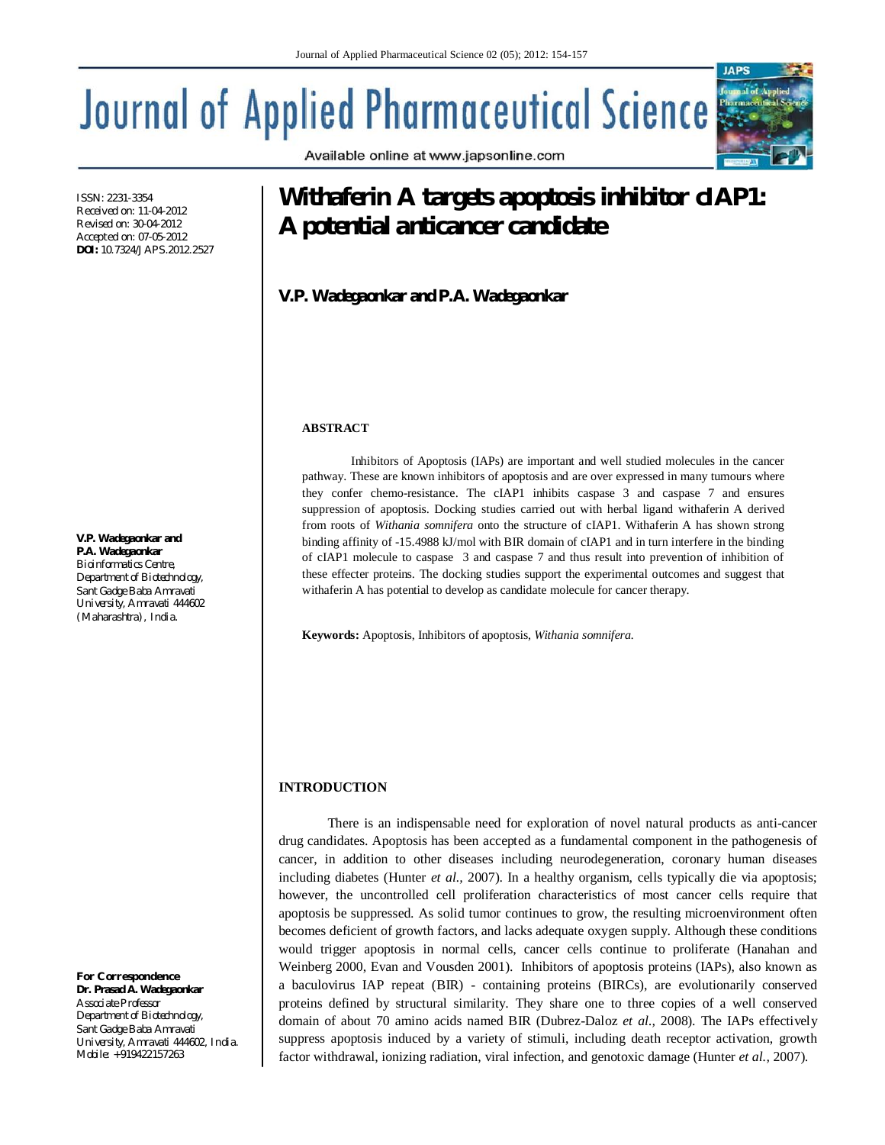Available online at www.japsonline.com

# **Journal of Applied Pharmaceutical Science**

ISSN: 2231-3354 Received on: 11-04-2012 Revised on: 30-04-2012 Accepted on: 07-05-2012 **DOI:** 10.7324/JAPS.2012.2527

**V.P. Wadegaonkar and P.A. Wadegaonkar** *Bioinformatics Centre, Department of Biotechnology, Sant Gadge Baba Amravati University, Amravati 444602 (Maharashtra), India.*

*For Correspondence* **Dr. Prasad A. Wadegaonkar** *Associate Professor Department of Biotechnology, Sant Gadge Baba Amravati University, Amravati 444602, India. Mobile: +919422157263*

# **Withaferin A targets apoptosis inhibitor cIAP1: A potential anticancer candidate**

**V.P. Wadegaonkar and P.A. Wadegaonkar**

# **ABSTRACT**

Inhibitors of Apoptosis (IAPs) are important and well studied molecules in the cancer pathway. These are known inhibitors of apoptosis and are over expressed in many tumours where they confer chemo-resistance. The cIAP1 inhibits caspase 3 and caspase 7 and ensures suppression of apoptosis. Docking studies carried out with herbal ligand withaferin A derived from roots of *Withania somnifera* onto the structure of cIAP1. Withaferin A has shown strong binding affinity of -15.4988 kJ/mol with BIR domain of cIAP1 and in turn interfere in the binding of cIAP1 molecule to caspase 3 and caspase 7 and thus result into prevention of inhibition of these effecter proteins. The docking studies support the experimental outcomes and suggest that withaferin A has potential to develop as candidate molecule for cancer therapy.

**Keywords:** Apoptosis, Inhibitors of apoptosis, *Withania somnifera.*

# **INTRODUCTION**

There is an indispensable need for exploration of novel natural products as anti-cancer drug candidates. Apoptosis has been accepted as a fundamental component in the pathogenesis of cancer, in addition to other diseases including neurodegeneration, coronary human diseases including diabetes (Hunter *et al.,* 2007). In a healthy organism, cells typically die via apoptosis; however, the uncontrolled cell proliferation characteristics of most cancer cells require that apoptosis be suppressed. As solid tumor continues to grow, the resulting microenvironment often becomes deficient of growth factors, and lacks adequate oxygen supply. Although these conditions would trigger apoptosis in normal cells, cancer cells continue to proliferate (Hanahan and Weinberg 2000, Evan and Vousden 2001). Inhibitors of apoptosis proteins (IAPs), also known as a baculovirus IAP repeat (BIR) - containing proteins (BIRCs), are evolutionarily conserved proteins defined by structural similarity. They share one to three copies of a well conserved domain of about 70 amino acids named BIR (Dubrez-Daloz *et al.,* 2008). The IAPs effectively suppress apoptosis induced by a variety of stimuli, including death receptor activation, growth factor withdrawal, ionizing radiation, viral infection, and genotoxic damage (Hunter *et al.,* 2007).

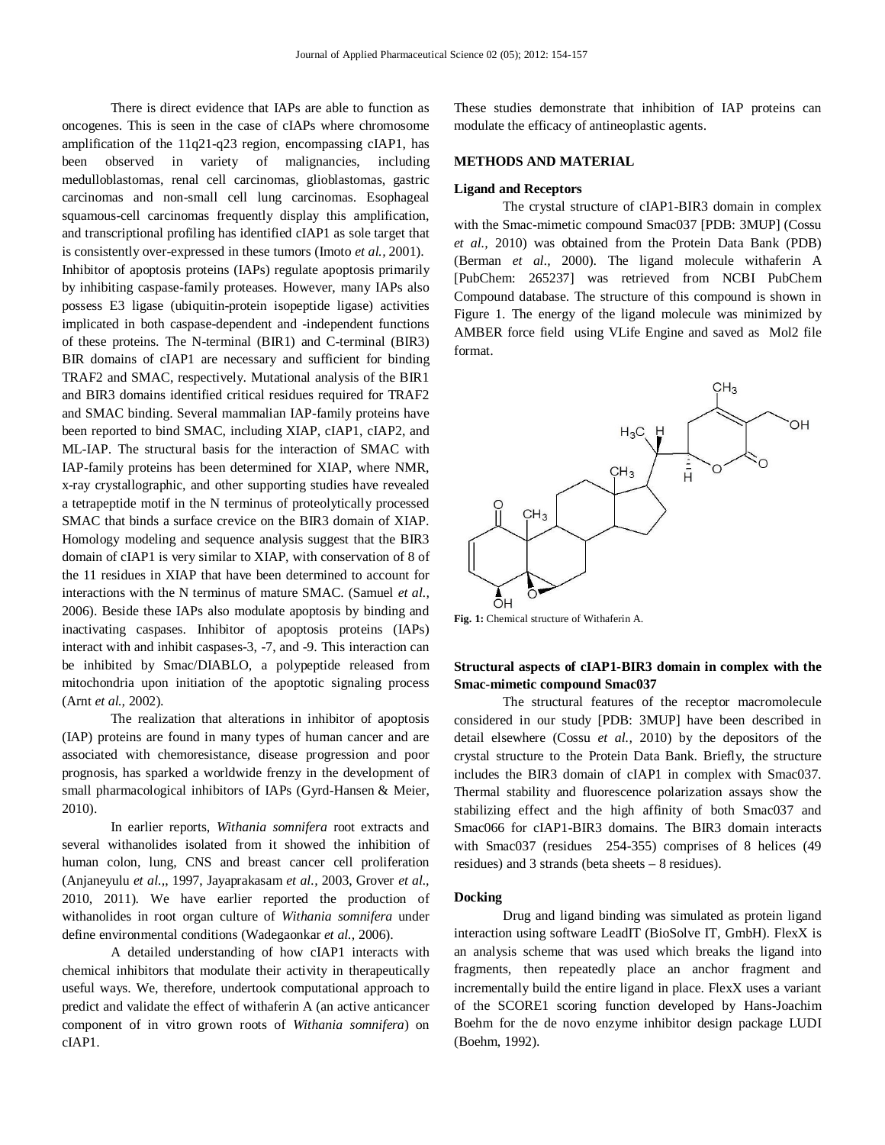There is direct evidence that IAPs are able to function as oncogenes. This is seen in the case of cIAPs where chromosome amplification of the 11q21-q23 region, encompassing cIAP1, has been observed in variety of malignancies, including medulloblastomas, renal cell carcinomas, glioblastomas, gastric carcinomas and non-small cell lung carcinomas. Esophageal squamous-cell carcinomas frequently display this amplification, and transcriptional profiling has identified cIAP1 as sole target that is consistently over-expressed in these tumors (Imoto *et al.,* 2001). Inhibitor of apoptosis proteins (IAPs) regulate apoptosis primarily by inhibiting caspase-family proteases. However, many IAPs also possess E3 ligase (ubiquitin-protein isopeptide ligase) activities implicated in both caspase-dependent and -independent functions of these proteins. The N-terminal (BIR1) and C-terminal (BIR3) BIR domains of cIAP1 are necessary and sufficient for binding TRAF2 and SMAC, respectively. Mutational analysis of the BIR1 and BIR3 domains identified critical residues required for TRAF2 and SMAC binding. Several mammalian IAP-family proteins have been reported to bind SMAC, including XIAP, cIAP1, cIAP2, and ML-IAP. The structural basis for the interaction of SMAC with IAP-family proteins has been determined for XIAP, where NMR, x-ray crystallographic, and other supporting studies have revealed a tetrapeptide motif in the N terminus of proteolytically processed SMAC that binds a surface crevice on the BIR3 domain of XIAP. Homology modeling and sequence analysis suggest that the BIR3 domain of cIAP1 is very similar to XIAP, with conservation of 8 of the 11 residues in XIAP that have been determined to account for interactions with the N terminus of mature SMAC. (Samuel *et al.,* 2006). Beside these IAPs also modulate apoptosis by binding and inactivating caspases. Inhibitor of apoptosis proteins (IAPs) interact with and inhibit caspases-3, -7, and -9. This interaction can be inhibited by Smac/DIABLO, a polypeptide released from mitochondria upon initiation of the apoptotic signaling process (Arnt *et al.,* 2002).

The realization that alterations in inhibitor of apoptosis (IAP) proteins are found in many types of human cancer and are associated with chemoresistance, disease progression and poor prognosis, has sparked a worldwide frenzy in the development of small pharmacological inhibitors of IAPs (Gyrd-Hansen & Meier, 2010).

In earlier reports, *Withania somnifera* root extracts and several withanolides isolated from it showed the inhibition of human colon, lung, CNS and breast cancer cell proliferation (Anjaneyulu *et al.,*, 1997, Jayaprakasam *et al.,* 2003, Grover *et al.,* 2010, 2011). We have earlier reported the production of withanolides in root organ culture of *Withania somnifera* under define environmental conditions (Wadegaonkar *et al.,* 2006).

A detailed understanding of how cIAP1 interacts with chemical inhibitors that modulate their activity in therapeutically useful ways. We, therefore, undertook computational approach to predict and validate the effect of withaferin A (an active anticancer component of in vitro grown roots of *Withania somnifera*) on cIAP1.

These studies demonstrate that inhibition of IAP proteins can modulate the efficacy of antineoplastic agents.

## **METHODS AND MATERIAL**

### **Ligand and Receptors**

The crystal structure of cIAP1-BIR3 domain in complex with the Smac-mimetic compound Smac037 [PDB: 3MUP] (Cossu *et al.,* 2010) was obtained from the Protein Data Bank (PDB) (Berman *et al.,* 2000). The ligand molecule withaferin A [PubChem: 265237] was retrieved from NCBI PubChem Compound database. The structure of this compound is shown in Figure 1. The energy of the ligand molecule was minimized by AMBER force field using VLife Engine and saved as Mol2 file format.



**Fig. 1:** Chemical structure of Withaferin A.

# **Structural aspects of cIAP1-BIR3 domain in complex with the Smac-mimetic compound Smac037**

The structural features of the receptor macromolecule considered in our study [PDB: 3MUP] have been described in detail elsewhere (Cossu *et al.,* 2010) by the depositors of the crystal structure to the Protein Data Bank. Briefly, the structure includes the BIR3 domain of cIAP1 in complex with Smac037. Thermal stability and fluorescence polarization assays show the stabilizing effect and the high affinity of both Smac037 and Smac066 for cIAP1-BIR3 domains. The BIR3 domain interacts with Smac037 (residues 254-355) comprises of 8 helices (49 residues) and 3 strands (beta sheets – 8 residues).

# **Docking**

Drug and ligand binding was simulated as protein ligand interaction using software LeadIT (BioSolve IT, GmbH). FlexX is an analysis scheme that was used which breaks the ligand into fragments, then repeatedly place an anchor fragment and incrementally build the entire ligand in place. FlexX uses a variant of the SCORE1 scoring function developed by Hans-Joachim Boehm for the de novo enzyme inhibitor design package LUDI (Boehm, 1992).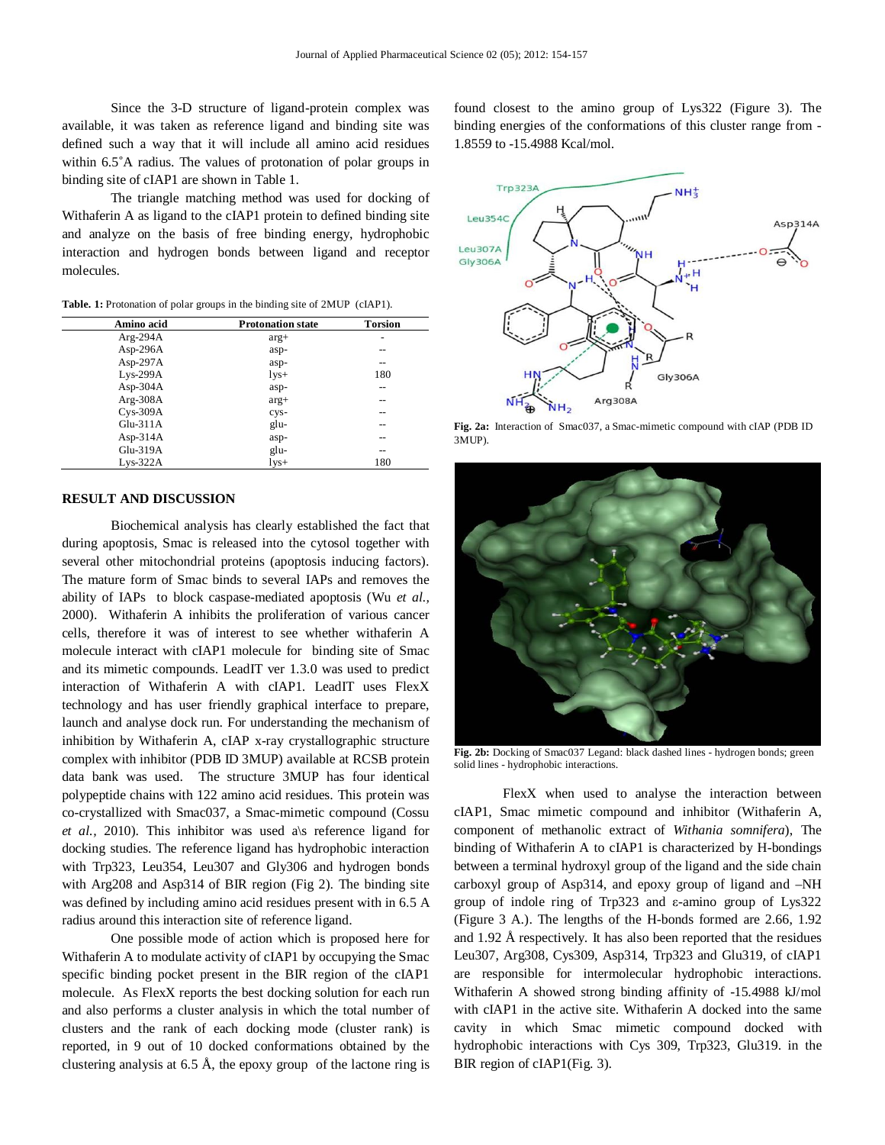Since the 3-D structure of ligand-protein complex was available, it was taken as reference ligand and binding site was defined such a way that it will include all amino acid residues within 6.5°A radius. The values of protonation of polar groups in binding site of cIAP1 are shown in Table 1.

The triangle matching method was used for docking of Withaferin A as ligand to the cIAP1 protein to defined binding site and analyze on the basis of free binding energy, hydrophobic interaction and hydrogen bonds between ligand and receptor molecules.

Table. 1: Protonation of polar groups in the binding site of 2MUP (cIAP1).

| Amino acid  | <b>Protonation state</b> | <b>Torsion</b> |
|-------------|--------------------------|----------------|
| $Arg-294A$  | $arg+$                   |                |
| Asp-296A    | asp-                     | --             |
| Asp-297 $A$ | asp-                     | --             |
| $Lys-299A$  | $1$ ys+                  | 180            |
| Asp- $304A$ | asp-                     | --             |
| $Arg-308A$  | $arg+$                   | --             |
| $Cys-309A$  | cys-                     | --             |
| $Glu-311A$  | glu-                     | --             |
| Asp- $314A$ | asp-                     | --             |
| $Glu-319A$  | glu-                     | --             |
| $Lys-322A$  | lys+                     | 180            |

#### **RESULT AND DISCUSSION**

Biochemical analysis has clearly established the fact that during apoptosis, Smac is released into the cytosol together with several other mitochondrial proteins (apoptosis inducing factors). The mature form of Smac binds to several IAPs and removes the ability of IAPs to block caspase-mediated apoptosis (Wu *et al.,* 2000). Withaferin A inhibits the proliferation of various cancer cells, therefore it was of interest to see whether withaferin A molecule interact with cIAP1 molecule for binding site of Smac and its mimetic compounds. LeadIT ver 1.3.0 was used to predict interaction of Withaferin A with cIAP1. LeadIT uses FlexX technology and has user friendly graphical interface to prepare, launch and analyse dock run. For understanding the mechanism of inhibition by Withaferin A, cIAP x-ray crystallographic structure complex with inhibitor (PDB ID 3MUP) available at RCSB protein data bank was used. The structure 3MUP has four identical polypeptide chains with 122 amino acid residues. This protein was co-crystallized with Smac037, a Smac-mimetic compound (Cossu et al., 2010). This inhibitor was used a\s reference ligand for docking studies. The reference ligand has hydrophobic interaction with Trp323, Leu354, Leu307 and Gly306 and hydrogen bonds with Arg208 and Asp314 of BIR region (Fig 2). The binding site was defined by including amino acid residues present with in 6.5 A radius around this interaction site of reference ligand.

One possible mode of action which is proposed here for Withaferin A to modulate activity of cIAP1 by occupying the Smac specific binding pocket present in the BIR region of the cIAP1 molecule. As FlexX reports the best docking solution for each run and also performs a cluster analysis in which the total number of clusters and the rank of each docking mode (cluster rank) is reported, in 9 out of 10 docked conformations obtained by the clustering analysis at 6.5 Å, the epoxy group of the lactone ring is

found closest to the amino group of Lys322 (Figure 3). The binding energies of the conformations of this cluster range from - 1.8559 to -15.4988 Kcal/mol.



**Fig. 2a:** Interaction of Smac037, a Smac-mimetic compound with cIAP (PDB ID 3MUP).



**Fig. 2b:** Docking of Smac037 Legand: black dashed lines - hydrogen bonds; green solid lines - hydrophobic interactions.

FlexX when used to analyse the interaction between cIAP1, Smac mimetic compound and inhibitor (Withaferin A, component of methanolic extract of *Withania somnifera*), The binding of Withaferin A to cIAP1 is characterized by H-bondings between a terminal hydroxyl group of the ligand and the side chain carboxyl group of Asp314, and epoxy group of ligand and –NH group of indole ring of Trp323 and ε-amino group of Lys322 (Figure 3 A.). The lengths of the H-bonds formed are 2.66, 1.92 and 1.92 Å respectively. It has also been reported that the residues Leu307, Arg308, Cys309, Asp314, Trp323 and Glu319, of cIAP1 are responsible for intermolecular hydrophobic interactions. Withaferin A showed strong binding affinity of -15.4988 kJ/mol with cIAP1 in the active site. Withaferin A docked into the same cavity in which Smac mimetic compound docked with hydrophobic interactions with Cys 309, Trp323, Glu319. in the BIR region of cIAP1(Fig. 3).